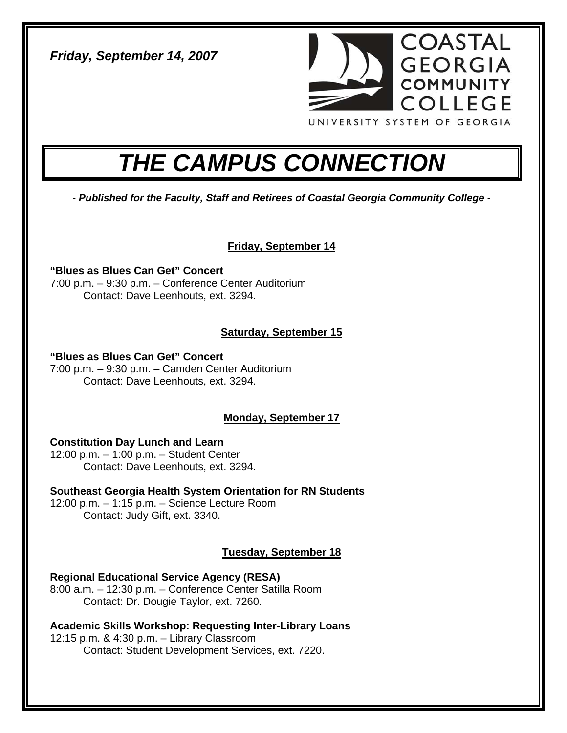*Friday, September 14, 2007* 



# *THE CAMPUS CONNECTION*

*- Published for the Faculty, Staff and Retirees of Coastal Georgia Community College -* 

**Friday, September 14**

**"Blues as Blues Can Get" Concert**  7:00 p.m. – 9:30 p.m. – Conference Center Auditorium Contact: Dave Leenhouts, ext. 3294.

# **Saturday, September 15**

**"Blues as Blues Can Get" Concert** 

7:00 p.m. – 9:30 p.m. – Camden Center Auditorium Contact: Dave Leenhouts, ext. 3294.

## **Monday, September 17**

**Constitution Day Lunch and Learn** 

12:00 p.m. – 1:00 p.m. – Student Center Contact: Dave Leenhouts, ext. 3294.

**Southeast Georgia Health System Orientation for RN Students**  12:00 p.m. – 1:15 p.m. – Science Lecture Room Contact: Judy Gift, ext. 3340.

# **Tuesday, September 18**

**Regional Educational Service Agency (RESA)** 

8:00 a.m. – 12:30 p.m. – Conference Center Satilla Room Contact: Dr. Dougie Taylor, ext. 7260.

**Academic Skills Workshop: Requesting Inter-Library Loans**  12:15 p.m. & 4:30 p.m. – Library Classroom Contact: Student Development Services, ext. 7220.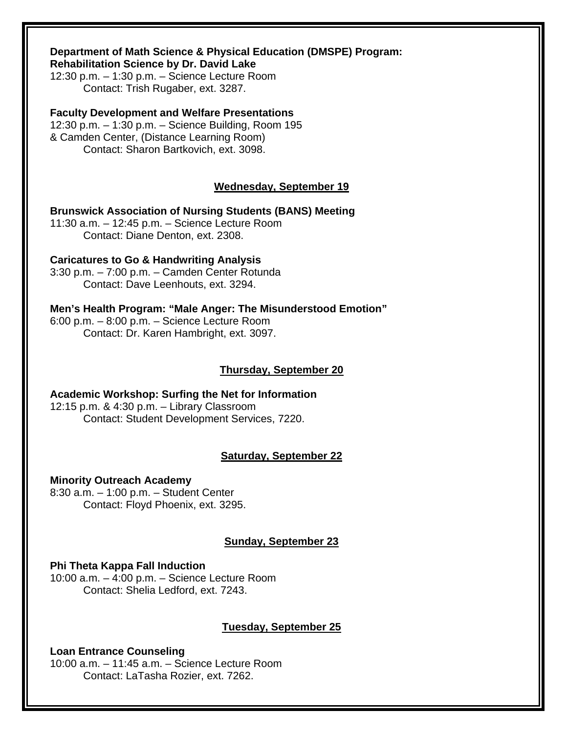## **Department of Math Science & Physical Education (DMSPE) Program:**

**Rehabilitation Science by Dr. David Lake** 

12:30 p.m. – 1:30 p.m. – Science Lecture Room Contact: Trish Rugaber, ext. 3287.

#### **Faculty Development and Welfare Presentations**

12:30 p.m. – 1:30 p.m. – Science Building, Room 195 & Camden Center, (Distance Learning Room) Contact: Sharon Bartkovich, ext. 3098.

#### **Wednesday, September 19**

**Brunswick Association of Nursing Students (BANS) Meeting**  11:30 a.m. – 12:45 p.m. – Science Lecture Room

Contact: Diane Denton, ext. 2308.

**Caricatures to Go & Handwriting Analysis**  3:30 p.m. – 7:00 p.m. – Camden Center Rotunda Contact: Dave Leenhouts, ext. 3294.

#### **Men's Health Program: "Male Anger: The Misunderstood Emotion"**

6:00 p.m. – 8:00 p.m. – Science Lecture Room Contact: Dr. Karen Hambright, ext. 3097.

#### **Thursday, September 20**

**Academic Workshop: Surfing the Net for Information**  12:15 p.m. & 4:30 p.m. – Library Classroom Contact: Student Development Services, 7220.

#### **Saturday, September 22**

**Minority Outreach Academy**  8:30 a.m. – 1:00 p.m. – Student Center Contact: Floyd Phoenix, ext. 3295.

#### **Sunday, September 23**

#### **Phi Theta Kappa Fall Induction**

10:00 a.m. – 4:00 p.m. – Science Lecture Room Contact: Shelia Ledford, ext. 7243.

#### **Tuesday, September 25**

**Loan Entrance Counseling**  10:00 a.m. – 11:45 a.m. – Science Lecture Room Contact: LaTasha Rozier, ext. 7262.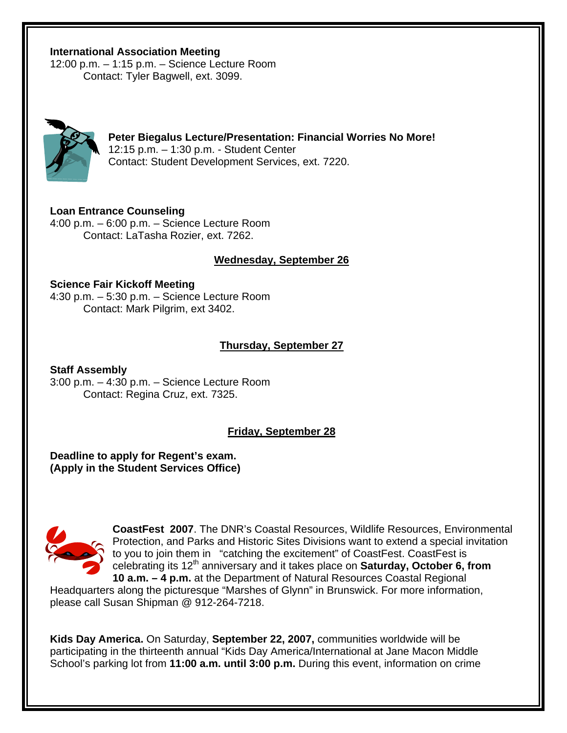#### **International Association Meeting**

12:00 p.m. – 1:15 p.m. – Science Lecture Room Contact: Tyler Bagwell, ext. 3099.



**Peter Biegalus Lecture/Presentation: Financial Worries No More!**  12:15 p.m. – 1:30 p.m. - Student Center Contact: Student Development Services, ext. 7220.

**Loan Entrance Counseling**  4:00 p.m. – 6:00 p.m. – Science Lecture Room Contact: LaTasha Rozier, ext. 7262.

#### **Wednesday, September 26**

**Science Fair Kickoff Meeting**  4:30 p.m. – 5:30 p.m. – Science Lecture Room Contact: Mark Pilgrim, ext 3402.

#### **Thursday, September 27**

**Staff Assembly**  3:00 p.m. – 4:30 p.m. – Science Lecture Room Contact: Regina Cruz, ext. 7325.

#### **Friday, September 28**

**Deadline to apply for Regent's exam. (Apply in the Student Services Office)** 



**CoastFest 2007**. The DNR's Coastal Resources, Wildlife Resources, E nvironmental Protection, and Parks and Historic Sites Divisions want to extend a special invitation to you to join them in "catching the excitement" of CoastFest. CoastFest is celebrating its 12<sup>th</sup> anniversary and it takes place on **Saturday, October 6, from** 10 a.m. - 4 p.m. at the Department of Natural Resources Coastal Regional

Headquarters along the picturesque "Marshes of Glynn" in Brunswick. For more information, please call Susan Shipman @ 912-264-7218.

Kids Day America. On Saturday, September 22, 2007, communities worldwide will be participating in the thirteenth annual "Kids Day America/International at Jane Macon Middle School's parking lot from **11:00 a.m. until 3:00 p.m.** During this event, information on crime